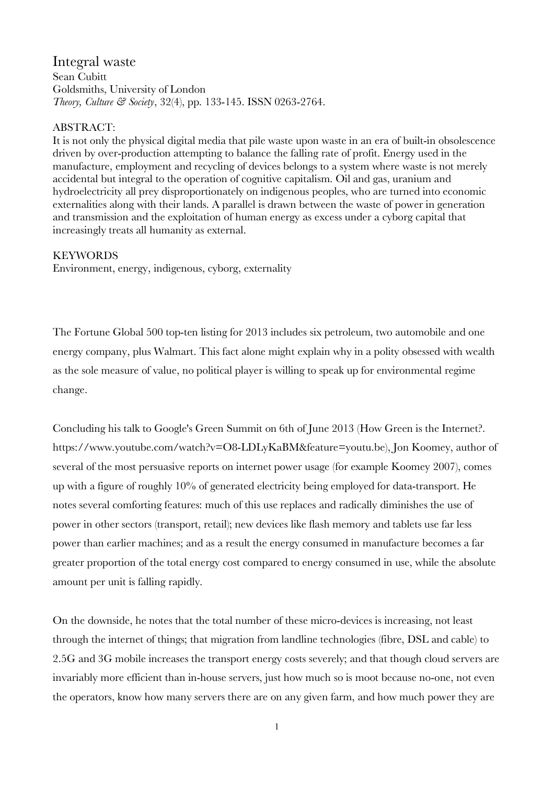## Integral waste Sean Cubitt Goldsmiths, University of London *Theory, Culture & Society*, 32(4), pp. 133-145. ISSN 0263-2764.

## ABSTRACT:

It is not only the physical digital media that pile waste upon waste in an era of built-in obsolescence driven by over-production attempting to balance the falling rate of profit. Energy used in the manufacture, employment and recycling of devices belongs to a system where waste is not merely accidental but integral to the operation of cognitive capitalism. Oil and gas, uranium and hydroelectricity all prey disproportionately on indigenous peoples, who are turned into economic externalities along with their lands. A parallel is drawn between the waste of power in generation and transmission and the exploitation of human energy as excess under a cyborg capital that increasingly treats all humanity as external.

## **KEYWORDS**

Environment, energy, indigenous, cyborg, externality

The Fortune Global 500 top-ten listing for 2013 includes six petroleum, two automobile and one energy company, plus Walmart. This fact alone might explain why in a polity obsessed with wealth as the sole measure of value, no political player is willing to speak up for environmental regime change.

Concluding his talk to Google's Green Summit on 6th of June 2013 (How Green is the Internet?. https://www.youtube.com/watch?v=O8-LDLyKaBM&feature=youtu.be), Jon Koomey, author of several of the most persuasive reports on internet power usage (for example Koomey 2007), comes up with a figure of roughly 10% of generated electricity being employed for data-transport. He notes several comforting features: much of this use replaces and radically diminishes the use of power in other sectors (transport, retail); new devices like flash memory and tablets use far less power than earlier machines; and as a result the energy consumed in manufacture becomes a far greater proportion of the total energy cost compared to energy consumed in use, while the absolute amount per unit is falling rapidly.

On the downside, he notes that the total number of these micro-devices is increasing, not least through the internet of things; that migration from landline technologies (fibre, DSL and cable) to 2.5G and 3G mobile increases the transport energy costs severely; and that though cloud servers are invariably more efficient than in-house servers, just how much so is moot because no-one, not even the operators, know how many servers there are on any given farm, and how much power they are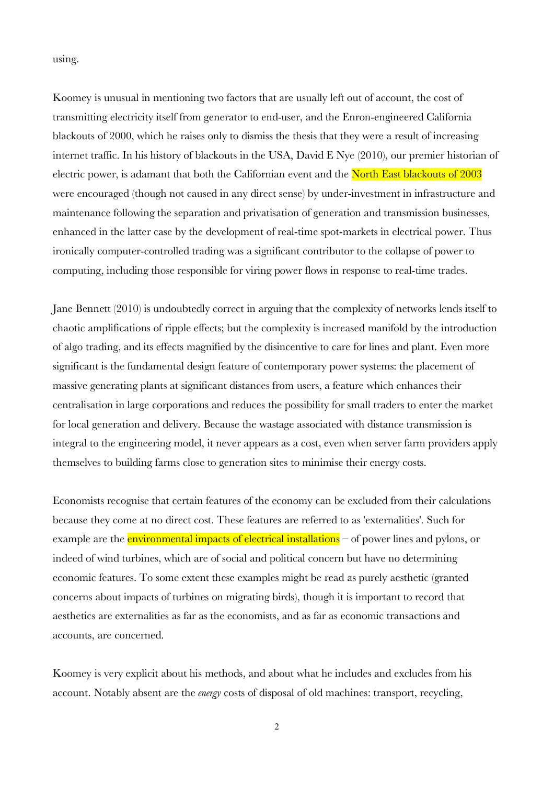using.

Koomey is unusual in mentioning two factors that are usually left out of account, the cost of transmitting electricity itself from generator to end-user, and the Enron-engineered California blackouts of 2000, which he raises only to dismiss the thesis that they were a result of increasing internet traffic. In his history of blackouts in the USA, David E Nye (2010), our premier historian of electric power, is adamant that both the Californian event and the North East blackouts of 2003 were encouraged (though not caused in any direct sense) by under-investment in infrastructure and maintenance following the separation and privatisation of generation and transmission businesses, enhanced in the latter case by the development of real-time spot-markets in electrical power. Thus ironically computer-controlled trading was a significant contributor to the collapse of power to computing, including those responsible for viring power flows in response to real-time trades.

Jane Bennett (2010) is undoubtedly correct in arguing that the complexity of networks lends itself to chaotic amplifications of ripple effects; but the complexity is increased manifold by the introduction of algo trading, and its effects magnified by the disincentive to care for lines and plant. Even more significant is the fundamental design feature of contemporary power systems: the placement of massive generating plants at significant distances from users, a feature which enhances their centralisation in large corporations and reduces the possibility for small traders to enter the market for local generation and delivery. Because the wastage associated with distance transmission is integral to the engineering model, it never appears as a cost, even when server farm providers apply themselves to building farms close to generation sites to minimise their energy costs.

Economists recognise that certain features of the economy can be excluded from their calculations because they come at no direct cost. These features are referred to as 'externalities'. Such for example are the environmental impacts of electrical installations – of power lines and pylons, or indeed of wind turbines, which are of social and political concern but have no determining economic features. To some extent these examples might be read as purely aesthetic (granted concerns about impacts of turbines on migrating birds), though it is important to record that aesthetics are externalities as far as the economists, and as far as economic transactions and accounts, are concerned.

Koomey is very explicit about his methods, and about what he includes and excludes from his account. Notably absent are the *energy* costs of disposal of old machines: transport, recycling,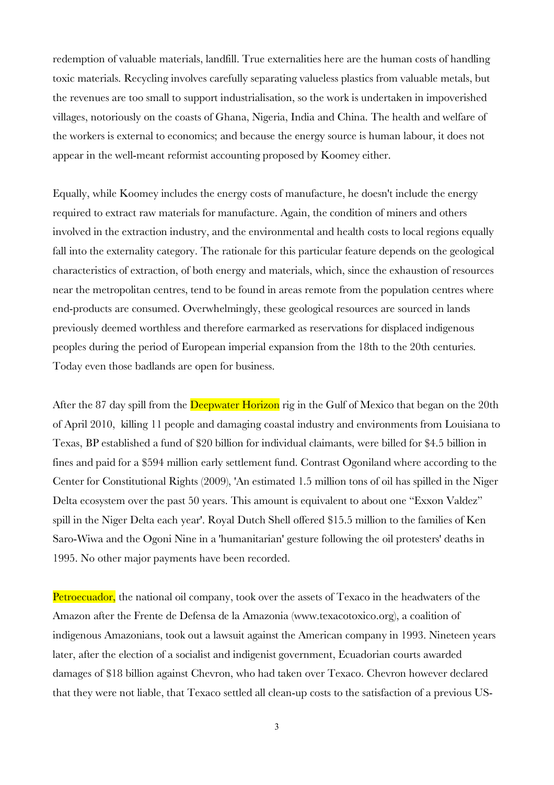redemption of valuable materials, landfill. True externalities here are the human costs of handling toxic materials. Recycling involves carefully separating valueless plastics from valuable metals, but the revenues are too small to support industrialisation, so the work is undertaken in impoverished villages, notoriously on the coasts of Ghana, Nigeria, India and China. The health and welfare of the workers is external to economics; and because the energy source is human labour, it does not appear in the well-meant reformist accounting proposed by Koomey either.

Equally, while Koomey includes the energy costs of manufacture, he doesn't include the energy required to extract raw materials for manufacture. Again, the condition of miners and others involved in the extraction industry, and the environmental and health costs to local regions equally fall into the externality category. The rationale for this particular feature depends on the geological characteristics of extraction, of both energy and materials, which, since the exhaustion of resources near the metropolitan centres, tend to be found in areas remote from the population centres where end-products are consumed. Overwhelmingly, these geological resources are sourced in lands previously deemed worthless and therefore earmarked as reservations for displaced indigenous peoples during the period of European imperial expansion from the 18th to the 20th centuries. Today even those badlands are open for business.

After the 87 day spill from the Deepwater Horizon rig in the Gulf of Mexico that began on the 20th of April 2010, killing 11 people and damaging coastal industry and environments from Louisiana to Texas, BP established a fund of \$20 billion for individual claimants, were billed for \$4.5 billion in fines and paid for a \$594 million early settlement fund. Contrast Ogoniland where according to the Center for Constitutional Rights (2009), 'An estimated 1.5 million tons of oil has spilled in the Niger Delta ecosystem over the past 50 years. This amount is equivalent to about one "Exxon Valdez" spill in the Niger Delta each year'. Royal Dutch Shell offered \$15.5 million to the families of Ken Saro-Wiwa and the Ogoni Nine in a 'humanitarian' gesture following the oil protesters' deaths in 1995. No other major payments have been recorded.

Petroecuador, the national oil company, took over the assets of Texaco in the headwaters of the Amazon after the Frente de Defensa de la Amazonia (www.texacotoxico.org), a coalition of indigenous Amazonians, took out a lawsuit against the American company in 1993. Nineteen years later, after the election of a socialist and indigenist government, Ecuadorian courts awarded damages of \$18 billion against Chevron, who had taken over Texaco. Chevron however declared that they were not liable, that Texaco settled all clean-up costs to the satisfaction of a previous US-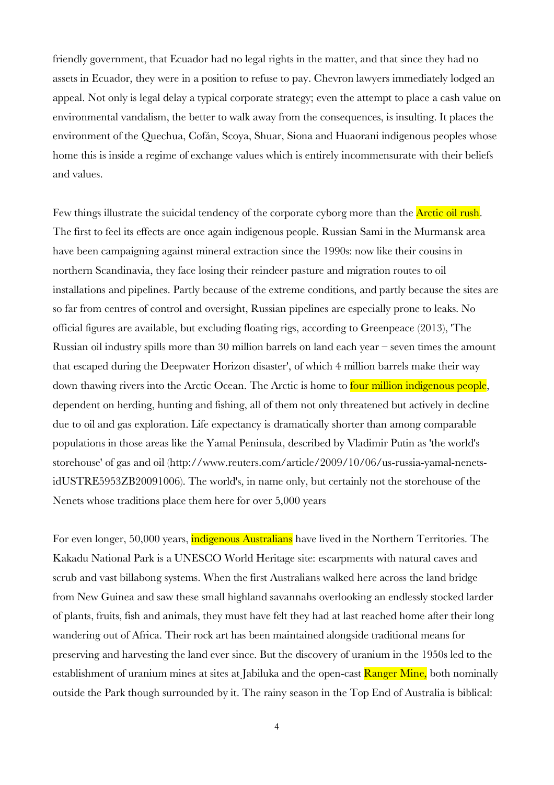friendly government, that Ecuador had no legal rights in the matter, and that since they had no assets in Ecuador, they were in a position to refuse to pay. Chevron lawyers immediately lodged an appeal. Not only is legal delay a typical corporate strategy; even the attempt to place a cash value on environmental vandalism, the better to walk away from the consequences, is insulting. It places the environment of the Quechua, Cofán, Scoya, Shuar, Siona and Huaorani indigenous peoples whose home this is inside a regime of exchange values which is entirely incommensurate with their beliefs and values.

Few things illustrate the suicidal tendency of the corporate cyborg more than the **Arctic oil rush**. The first to feel its effects are once again indigenous people. Russian Sami in the Murmansk area have been campaigning against mineral extraction since the 1990s: now like their cousins in northern Scandinavia, they face losing their reindeer pasture and migration routes to oil installations and pipelines. Partly because of the extreme conditions, and partly because the sites are so far from centres of control and oversight, Russian pipelines are especially prone to leaks. No official figures are available, but excluding floating rigs, according to Greenpeace (2013), 'The Russian oil industry spills more than 30 million barrels on land each year – seven times the amount that escaped during the Deepwater Horizon disaster', of which 4 million barrels make their way down thawing rivers into the Arctic Ocean. The Arctic is home to four million indigenous people, dependent on herding, hunting and fishing, all of them not only threatened but actively in decline due to oil and gas exploration. Life expectancy is dramatically shorter than among comparable populations in those areas like the Yamal Peninsula, described by Vladimir Putin as 'the world's storehouse' of gas and oil (http://www.reuters.com/article/2009/10/06/us-russia-yamal-nenetsidUSTRE5953ZB20091006). The world's, in name only, but certainly not the storehouse of the Nenets whose traditions place them here for over 5,000 years

For even longer, 50,000 years, **indigenous Australians** have lived in the Northern Territories. The Kakadu National Park is a UNESCO World Heritage site: escarpments with natural caves and scrub and vast billabong systems. When the first Australians walked here across the land bridge from New Guinea and saw these small highland savannahs overlooking an endlessly stocked larder of plants, fruits, fish and animals, they must have felt they had at last reached home after their long wandering out of Africa. Their rock art has been maintained alongside traditional means for preserving and harvesting the land ever since. But the discovery of uranium in the 1950s led to the establishment of uranium mines at sites at Jabiluka and the open-cast **Ranger Mine**, both nominally outside the Park though surrounded by it. The rainy season in the Top End of Australia is biblical: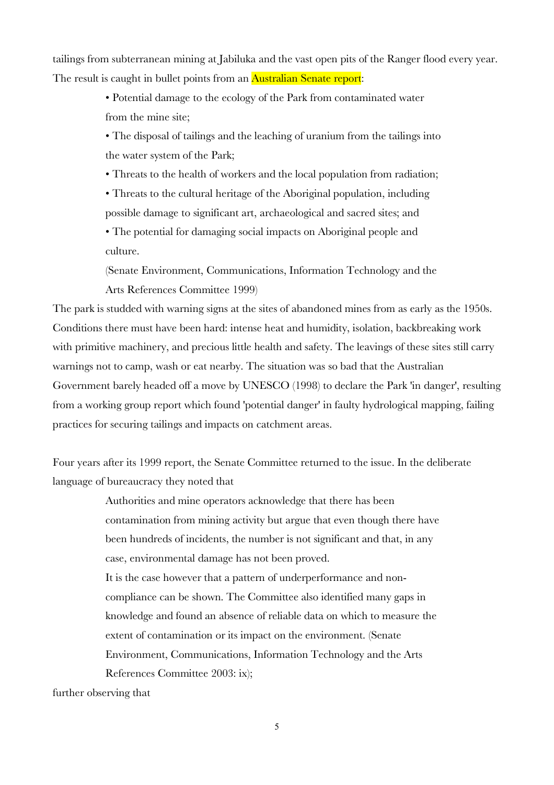tailings from subterranean mining at Jabiluka and the vast open pits of the Ranger flood every year. The result is caught in bullet points from an **Australian Senate report:** 

> • Potential damage to the ecology of the Park from contaminated water from the mine site;

• The disposal of tailings and the leaching of uranium from the tailings into the water system of the Park;

• Threats to the health of workers and the local population from radiation;

• Threats to the cultural heritage of the Aboriginal population, including possible damage to significant art, archaeological and sacred sites; and

• The potential for damaging social impacts on Aboriginal people and culture.

(Senate Environment, Communications, Information Technology and the Arts References Committee 1999)

The park is studded with warning signs at the sites of abandoned mines from as early as the 1950s. Conditions there must have been hard: intense heat and humidity, isolation, backbreaking work with primitive machinery, and precious little health and safety. The leavings of these sites still carry warnings not to camp, wash or eat nearby. The situation was so bad that the Australian Government barely headed off a move by UNESCO (1998) to declare the Park 'in danger', resulting from a working group report which found 'potential danger' in faulty hydrological mapping, failing practices for securing tailings and impacts on catchment areas.

Four years after its 1999 report, the Senate Committee returned to the issue. In the deliberate language of bureaucracy they noted that

> Authorities and mine operators acknowledge that there has been contamination from mining activity but argue that even though there have been hundreds of incidents, the number is not significant and that, in any case, environmental damage has not been proved. It is the case however that a pattern of underperformance and noncompliance can be shown. The Committee also identified many gaps in knowledge and found an absence of reliable data on which to measure the extent of contamination or its impact on the environment. (Senate Environment, Communications, Information Technology and the Arts References Committee 2003: ix);

further observing that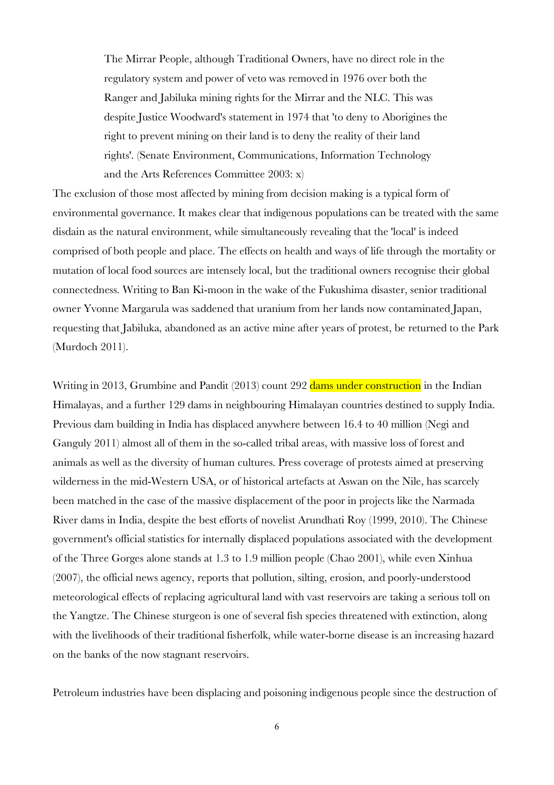The Mirrar People, although Traditional Owners, have no direct role in the regulatory system and power of veto was removed in 1976 over both the Ranger and Jabiluka mining rights for the Mirrar and the NLC. This was despite Justice Woodward's statement in 1974 that 'to deny to Aborigines the right to prevent mining on their land is to deny the reality of their land rights'. (Senate Environment, Communications, Information Technology and the Arts References Committee 2003: x)

The exclusion of those most affected by mining from decision making is a typical form of environmental governance. It makes clear that indigenous populations can be treated with the same disdain as the natural environment, while simultaneously revealing that the 'local' is indeed comprised of both people and place. The effects on health and ways of life through the mortality or mutation of local food sources are intensely local, but the traditional owners recognise their global connectedness. Writing to Ban Ki-moon in the wake of the Fukushima disaster, senior traditional owner Yvonne Margarula was saddened that uranium from her lands now contaminated Japan, requesting that Jabiluka, abandoned as an active mine after years of protest, be returned to the Park (Murdoch 2011).

Writing in 2013, Grumbine and Pandit (2013) count 292 dams under construction in the Indian Himalayas, and a further 129 dams in neighbouring Himalayan countries destined to supply India. Previous dam building in India has displaced anywhere between 16.4 to 40 million (Negi and Ganguly 2011) almost all of them in the so-called tribal areas, with massive loss of forest and animals as well as the diversity of human cultures. Press coverage of protests aimed at preserving wilderness in the mid-Western USA, or of historical artefacts at Aswan on the Nile, has scarcely been matched in the case of the massive displacement of the poor in projects like the Narmada River dams in India, despite the best efforts of novelist Arundhati Roy (1999, 2010). The Chinese government's official statistics for internally displaced populations associated with the development of the Three Gorges alone stands at 1.3 to 1.9 million people (Chao 2001), while even Xinhua (2007), the official news agency, reports that pollution, silting, erosion, and poorly-understood meteorological effects of replacing agricultural land with vast reservoirs are taking a serious toll on the Yangtze. The Chinese sturgeon is one of several fish species threatened with extinction, along with the livelihoods of their traditional fisherfolk, while water-borne disease is an increasing hazard on the banks of the now stagnant reservoirs.

Petroleum industries have been displacing and poisoning indigenous people since the destruction of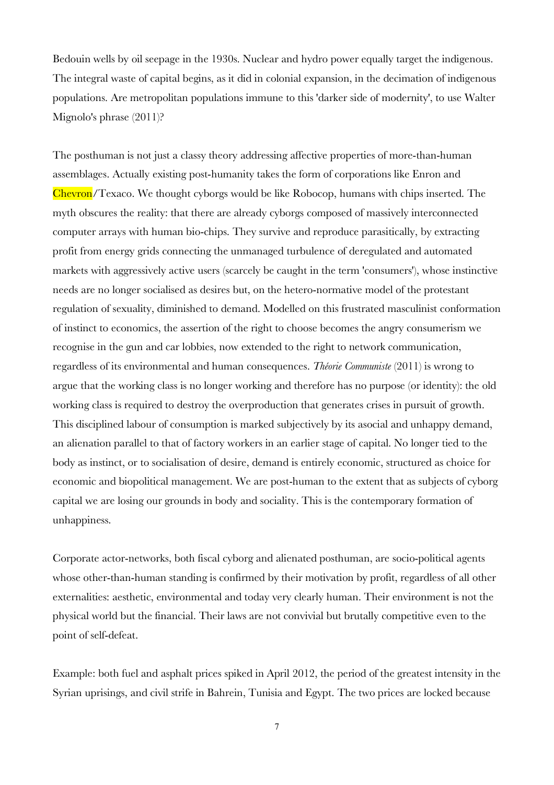Bedouin wells by oil seepage in the 1930s. Nuclear and hydro power equally target the indigenous. The integral waste of capital begins, as it did in colonial expansion, in the decimation of indigenous populations. Are metropolitan populations immune to this 'darker side of modernity', to use Walter Mignolo's phrase (2011)?

The posthuman is not just a classy theory addressing affective properties of more-than-human assemblages. Actually existing post-humanity takes the form of corporations like Enron and Chevron/Texaco. We thought cyborgs would be like Robocop, humans with chips inserted. The myth obscures the reality: that there are already cyborgs composed of massively interconnected computer arrays with human bio-chips. They survive and reproduce parasitically, by extracting profit from energy grids connecting the unmanaged turbulence of deregulated and automated markets with aggressively active users (scarcely be caught in the term 'consumers'), whose instinctive needs are no longer socialised as desires but, on the hetero-normative model of the protestant regulation of sexuality, diminished to demand. Modelled on this frustrated masculinist conformation of instinct to economics, the assertion of the right to choose becomes the angry consumerism we recognise in the gun and car lobbies, now extended to the right to network communication, regardless of its environmental and human consequences. *Théorie Communiste* (2011) is wrong to argue that the working class is no longer working and therefore has no purpose (or identity): the old working class is required to destroy the overproduction that generates crises in pursuit of growth. This disciplined labour of consumption is marked subjectively by its asocial and unhappy demand, an alienation parallel to that of factory workers in an earlier stage of capital. No longer tied to the body as instinct, or to socialisation of desire, demand is entirely economic, structured as choice for economic and biopolitical management. We are post-human to the extent that as subjects of cyborg capital we are losing our grounds in body and sociality. This is the contemporary formation of unhappiness.

Corporate actor-networks, both fiscal cyborg and alienated posthuman, are socio-political agents whose other-than-human standing is confirmed by their motivation by profit, regardless of all other externalities: aesthetic, environmental and today very clearly human. Their environment is not the physical world but the financial. Their laws are not convivial but brutally competitive even to the point of self-defeat.

Example: both fuel and asphalt prices spiked in April 2012, the period of the greatest intensity in the Syrian uprisings, and civil strife in Bahrein, Tunisia and Egypt. The two prices are locked because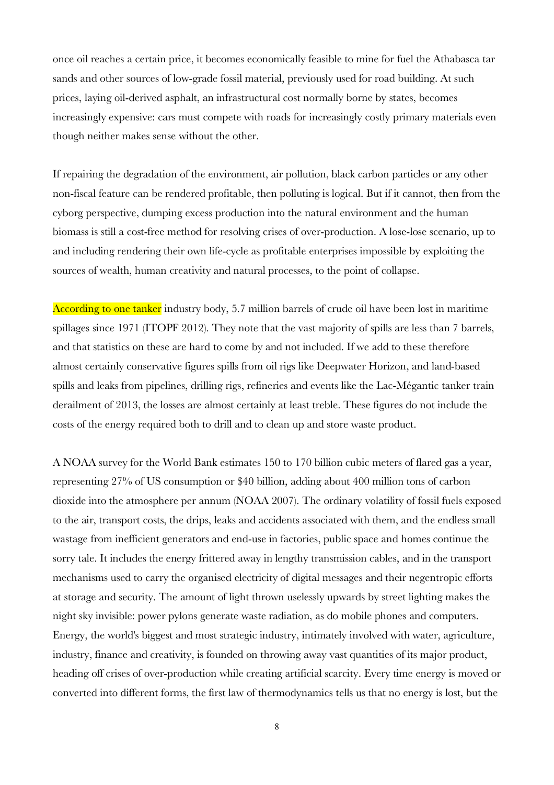once oil reaches a certain price, it becomes economically feasible to mine for fuel the Athabasca tar sands and other sources of low-grade fossil material, previously used for road building. At such prices, laying oil-derived asphalt, an infrastructural cost normally borne by states, becomes increasingly expensive: cars must compete with roads for increasingly costly primary materials even though neither makes sense without the other.

If repairing the degradation of the environment, air pollution, black carbon particles or any other non-fiscal feature can be rendered profitable, then polluting is logical. But if it cannot, then from the cyborg perspective, dumping excess production into the natural environment and the human biomass is still a cost-free method for resolving crises of over-production. A lose-lose scenario, up to and including rendering their own life-cycle as profitable enterprises impossible by exploiting the sources of wealth, human creativity and natural processes, to the point of collapse.

According to one tanker industry body, 5.7 million barrels of crude oil have been lost in maritime spillages since 1971 (ITOPF 2012). They note that the vast majority of spills are less than 7 barrels, and that statistics on these are hard to come by and not included. If we add to these therefore almost certainly conservative figures spills from oil rigs like Deepwater Horizon, and land-based spills and leaks from pipelines, drilling rigs, refineries and events like the Lac-Mégantic tanker train derailment of 2013, the losses are almost certainly at least treble. These figures do not include the costs of the energy required both to drill and to clean up and store waste product.

A NOAA survey for the World Bank estimates 150 to 170 billion cubic meters of flared gas a year, representing 27% of US consumption or \$40 billion, adding about 400 million tons of carbon dioxide into the atmosphere per annum (NOAA 2007). The ordinary volatility of fossil fuels exposed to the air, transport costs, the drips, leaks and accidents associated with them, and the endless small wastage from inefficient generators and end-use in factories, public space and homes continue the sorry tale. It includes the energy frittered away in lengthy transmission cables, and in the transport mechanisms used to carry the organised electricity of digital messages and their negentropic efforts at storage and security. The amount of light thrown uselessly upwards by street lighting makes the night sky invisible: power pylons generate waste radiation, as do mobile phones and computers. Energy, the world's biggest and most strategic industry, intimately involved with water, agriculture, industry, finance and creativity, is founded on throwing away vast quantities of its major product, heading off crises of over-production while creating artificial scarcity. Every time energy is moved or converted into different forms, the first law of thermodynamics tells us that no energy is lost, but the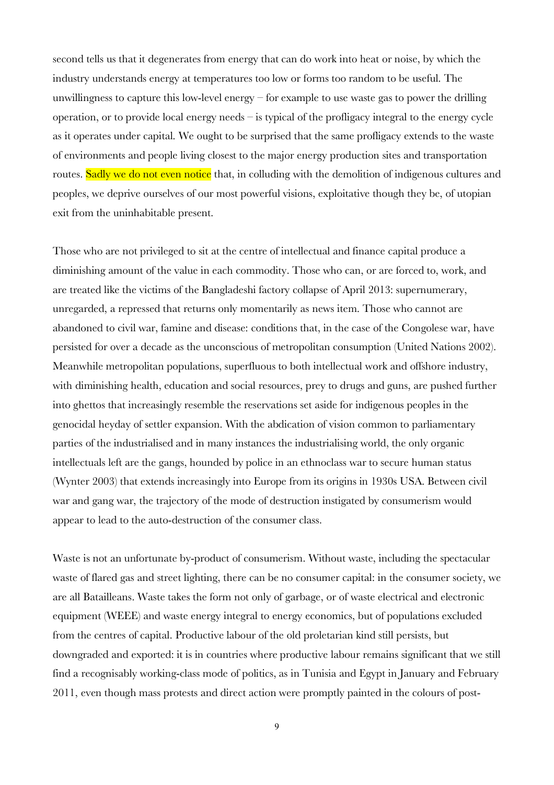second tells us that it degenerates from energy that can do work into heat or noise, by which the industry understands energy at temperatures too low or forms too random to be useful. The unwillingness to capture this low-level energy – for example to use waste gas to power the drilling operation, or to provide local energy needs – is typical of the profligacy integral to the energy cycle as it operates under capital. We ought to be surprised that the same profligacy extends to the waste of environments and people living closest to the major energy production sites and transportation routes. Sadly we do not even notice that, in colluding with the demolition of indigenous cultures and peoples, we deprive ourselves of our most powerful visions, exploitative though they be, of utopian exit from the uninhabitable present.

Those who are not privileged to sit at the centre of intellectual and finance capital produce a diminishing amount of the value in each commodity. Those who can, or are forced to, work, and are treated like the victims of the Bangladeshi factory collapse of April 2013: supernumerary, unregarded, a repressed that returns only momentarily as news item. Those who cannot are abandoned to civil war, famine and disease: conditions that, in the case of the Congolese war, have persisted for over a decade as the unconscious of metropolitan consumption (United Nations 2002). Meanwhile metropolitan populations, superfluous to both intellectual work and offshore industry, with diminishing health, education and social resources, prey to drugs and guns, are pushed further into ghettos that increasingly resemble the reservations set aside for indigenous peoples in the genocidal heyday of settler expansion. With the abdication of vision common to parliamentary parties of the industrialised and in many instances the industrialising world, the only organic intellectuals left are the gangs, hounded by police in an ethnoclass war to secure human status (Wynter 2003) that extends increasingly into Europe from its origins in 1930s USA. Between civil war and gang war, the trajectory of the mode of destruction instigated by consumerism would appear to lead to the auto-destruction of the consumer class.

Waste is not an unfortunate by-product of consumerism. Without waste, including the spectacular waste of flared gas and street lighting, there can be no consumer capital: in the consumer society, we are all Batailleans. Waste takes the form not only of garbage, or of waste electrical and electronic equipment (WEEE) and waste energy integral to energy economics, but of populations excluded from the centres of capital. Productive labour of the old proletarian kind still persists, but downgraded and exported: it is in countries where productive labour remains significant that we still find a recognisably working-class mode of politics, as in Tunisia and Egypt in January and February 2011, even though mass protests and direct action were promptly painted in the colours of post-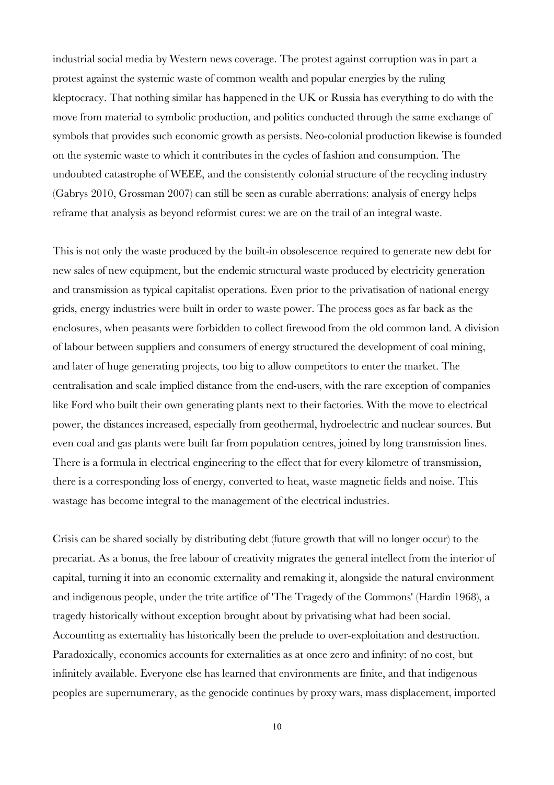industrial social media by Western news coverage. The protest against corruption was in part a protest against the systemic waste of common wealth and popular energies by the ruling kleptocracy. That nothing similar has happened in the UK or Russia has everything to do with the move from material to symbolic production, and politics conducted through the same exchange of symbols that provides such economic growth as persists. Neo-colonial production likewise is founded on the systemic waste to which it contributes in the cycles of fashion and consumption. The undoubted catastrophe of WEEE, and the consistently colonial structure of the recycling industry (Gabrys 2010, Grossman 2007) can still be seen as curable aberrations: analysis of energy helps reframe that analysis as beyond reformist cures: we are on the trail of an integral waste.

This is not only the waste produced by the built-in obsolescence required to generate new debt for new sales of new equipment, but the endemic structural waste produced by electricity generation and transmission as typical capitalist operations. Even prior to the privatisation of national energy grids, energy industries were built in order to waste power. The process goes as far back as the enclosures, when peasants were forbidden to collect firewood from the old common land. A division of labour between suppliers and consumers of energy structured the development of coal mining, and later of huge generating projects, too big to allow competitors to enter the market. The centralisation and scale implied distance from the end-users, with the rare exception of companies like Ford who built their own generating plants next to their factories. With the move to electrical power, the distances increased, especially from geothermal, hydroelectric and nuclear sources. But even coal and gas plants were built far from population centres, joined by long transmission lines. There is a formula in electrical engineering to the effect that for every kilometre of transmission, there is a corresponding loss of energy, converted to heat, waste magnetic fields and noise. This wastage has become integral to the management of the electrical industries.

Crisis can be shared socially by distributing debt (future growth that will no longer occur) to the precariat. As a bonus, the free labour of creativity migrates the general intellect from the interior of capital, turning it into an economic externality and remaking it, alongside the natural environment and indigenous people, under the trite artifice of 'The Tragedy of the Commons' (Hardin 1968), a tragedy historically without exception brought about by privatising what had been social. Accounting as externality has historically been the prelude to over-exploitation and destruction. Paradoxically, economics accounts for externalities as at once zero and infinity: of no cost, but infinitely available. Everyone else has learned that environments are finite, and that indigenous peoples are supernumerary, as the genocide continues by proxy wars, mass displacement, imported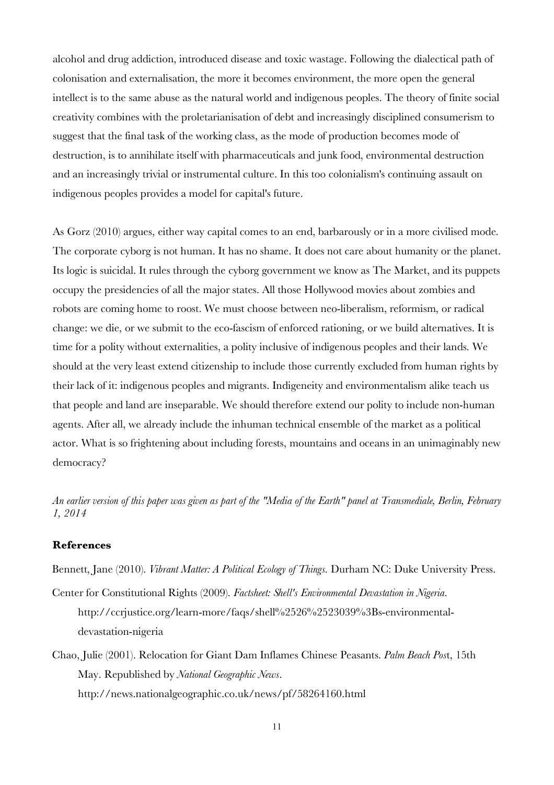alcohol and drug addiction, introduced disease and toxic wastage. Following the dialectical path of colonisation and externalisation, the more it becomes environment, the more open the general intellect is to the same abuse as the natural world and indigenous peoples. The theory of finite social creativity combines with the proletarianisation of debt and increasingly disciplined consumerism to suggest that the final task of the working class, as the mode of production becomes mode of destruction, is to annihilate itself with pharmaceuticals and junk food, environmental destruction and an increasingly trivial or instrumental culture. In this too colonialism's continuing assault on indigenous peoples provides a model for capital's future.

As Gorz (2010) argues, either way capital comes to an end, barbarously or in a more civilised mode. The corporate cyborg is not human. It has no shame. It does not care about humanity or the planet. Its logic is suicidal. It rules through the cyborg government we know as The Market, and its puppets occupy the presidencies of all the major states. All those Hollywood movies about zombies and robots are coming home to roost. We must choose between neo-liberalism, reformism, or radical change: we die, or we submit to the eco-fascism of enforced rationing, or we build alternatives. It is time for a polity without externalities, a polity inclusive of indigenous peoples and their lands. We should at the very least extend citizenship to include those currently excluded from human rights by their lack of it: indigenous peoples and migrants. Indigeneity and environmentalism alike teach us that people and land are inseparable. We should therefore extend our polity to include non-human agents. After all, we already include the inhuman technical ensemble of the market as a political actor. What is so frightening about including forests, mountains and oceans in an unimaginably new democracy?

*An earlier version of this paper was given as part of the "Media of the Earth" panel at Transmediale, Berlin, February 1, 2014* 

## **References**

- Bennett, Jane (2010). *Vibrant Matter: A Political Ecology of Things.* Durham NC: Duke University Press.
- Center for Constitutional Rights (2009). *Factsheet: Shell's Environmental Devastation in Nigeria*. http://ccrjustice.org/learn-more/faqs/shell%2526%2523039%3Bs-environmentaldevastation-nigeria
- Chao, Julie (2001). Relocation for Giant Dam Inflames Chinese Peasants. *Palm Beach Pos*t, 15th May. Republished by *National Geographic News*. http://news.nationalgeographic.co.uk/news/pf/58264160.html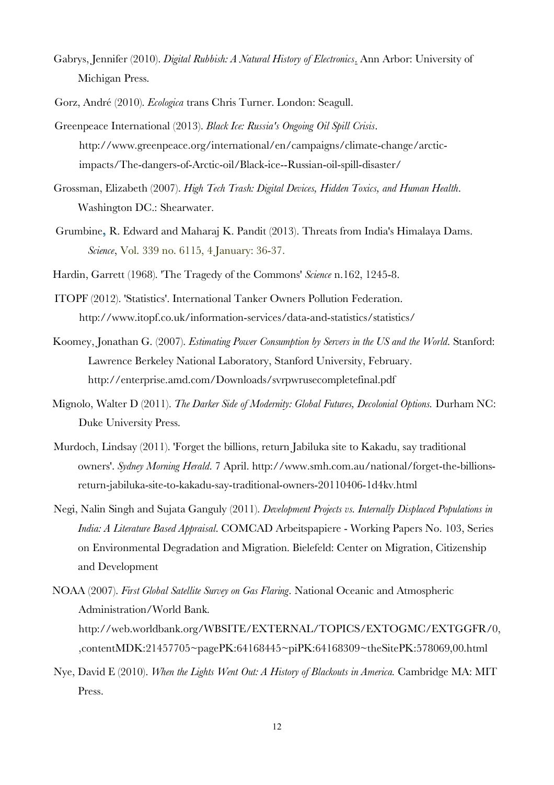- Gabrys, Jennifer (2010). *Digital Rubbish: A Natural History of Electronics*. Ann Arbor: University of Michigan Press.
- Gorz, André (2010). *Ecologica* trans Chris Turner. London: Seagull.
- Greenpeace International (2013). *Black Ice: Russia's Ongoing Oil Spill Crisis*. http://www.greenpeace.org/international/en/campaigns/climate-change/arcticimpacts/The-dangers-of-Arctic-oil/Black-ice--Russian-oil-spill-disaster/
- Grossman, Elizabeth (2007). *High Tech Trash: Digital Devices, Hidden Toxics, and Human Health*. Washington DC.: Shearwater.
- Grumbine**,** R. Edward and Maharaj K. Pandit (2013). Threats from India's Himalaya Dams. *Science*, Vol. 339 no. 6115, 4 January: 36-37.
- Hardin, Garrett (1968). 'The Tragedy of the Commons' *Science* n.162, 1245-8.
- ITOPF (2012). 'Statistics'. International Tanker Owners Pollution Federation. http://www.itopf.co.uk/information-services/data-and-statistics/statistics/
- Koomey, Jonathan G. (2007). *Estimating Power Consumption by Servers in the US and the World*. Stanford: Lawrence Berkeley National Laboratory, Stanford University, February. http://enterprise.amd.com/Downloads/svrpwrusecompletefinal.pdf
- Mignolo, Walter D (2011). *The Darker Side of Modernity: Global Futures, Decolonial Options.* Durham NC: Duke University Press.
- Murdoch, Lindsay (2011). 'Forget the billions, return Jabiluka site to Kakadu, say traditional owners'. *Sydney Morning Herald*. 7 April. http://www.smh.com.au/national/forget-the-billionsreturn-jabiluka-site-to-kakadu-say-traditional-owners-20110406-1d4kv.html
- Negi, Nalin Singh and Sujata Ganguly (2011). *Development Projects vs. Internally Displaced Populations in India: A Literature Based Appraisal*. COMCAD Arbeitspapiere - Working Papers No. 103, Series on Environmental Degradation and Migration. Bielefeld: Center on Migration, Citizenship and Development
- NOAA (2007). *First Global Satellite Survey on Gas Flaring*. National Oceanic and Atmospheric Administration/World Bank. http://web.worldbank.org/WBSITE/EXTERNAL/TOPICS/EXTOGMC/EXTGGFR/0, ,contentMDK:21457705~pagePK:64168445~piPK:64168309~theSitePK:578069,00.html
- Nye, David E (2010). *When the Lights Went Out: A History of Blackouts in America.* Cambridge MA: MIT Press.